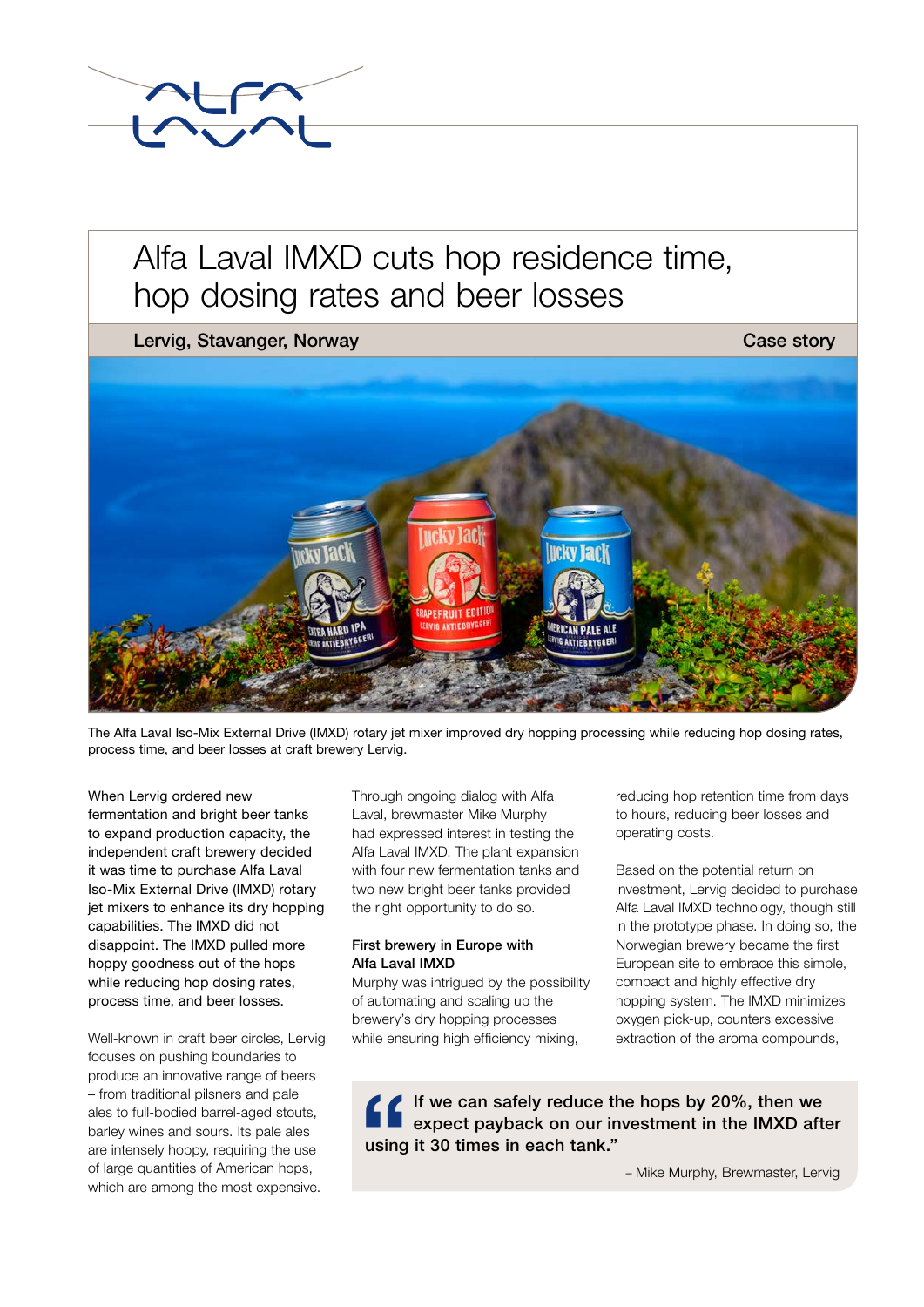

# Alfa Laval IMXD cuts hop residence time, hop dosing rates and beer losses

Lervig, Stavanger, Norway Case story Case story



The Alfa Laval Iso-Mix External Drive (IMXD) rotary jet mixer improved dry hopping processing while reducing hop dosing rates, process time, and beer losses at craft brewery Lervig.

When Lervig ordered new fermentation and bright beer tanks to expand production capacity, the independent craft brewery decided it was time to purchase Alfa Laval Iso-Mix External Drive (IMXD) rotary jet mixers to enhance its dry hopping capabilities. The IMXD did not disappoint. The IMXD pulled more hoppy goodness out of the hops while reducing hop dosing rates, process time, and beer losses.

Well-known in craft beer circles, Lervig focuses on pushing boundaries to produce an innovative range of beers – from traditional pilsners and pale ales to full-bodied barrel-aged stouts, barley wines and sours. Its pale ales are intensely hoppy, requiring the use of large quantities of American hops, which are among the most expensive.

Through ongoing dialog with Alfa Laval, brewmaster Mike Murphy had expressed interest in testing the Alfa Laval IMXD. The plant expansion with four new fermentation tanks and two new bright beer tanks provided the right opportunity to do so.

#### First brewery in Europe with Alfa Laval IMXD

Murphy was intrigued by the possibility of automating and scaling up the brewery's dry hopping processes while ensuring high efficiency mixing,

reducing hop retention time from days to hours, reducing beer losses and operating costs.

Based on the potential return on investment, Lervig decided to purchase Alfa Laval IMXD technology, though still in the prototype phase. In doing so, the Norwegian brewery became the first European site to embrace this simple, compact and highly effective dry hopping system. The IMXD minimizes oxygen pick-up, counters excessive extraction of the aroma compounds,

If we can safely reduce the hops by 20%, then we expect payback on our investment in the IMXD after using it 30 times in each tank." If we can safely reduce the hops by 20%, then we expect payback on our investment in the IMXD after using it 30 times in each tank."<br>- Mike Murphy, Brewmaster, Lervig